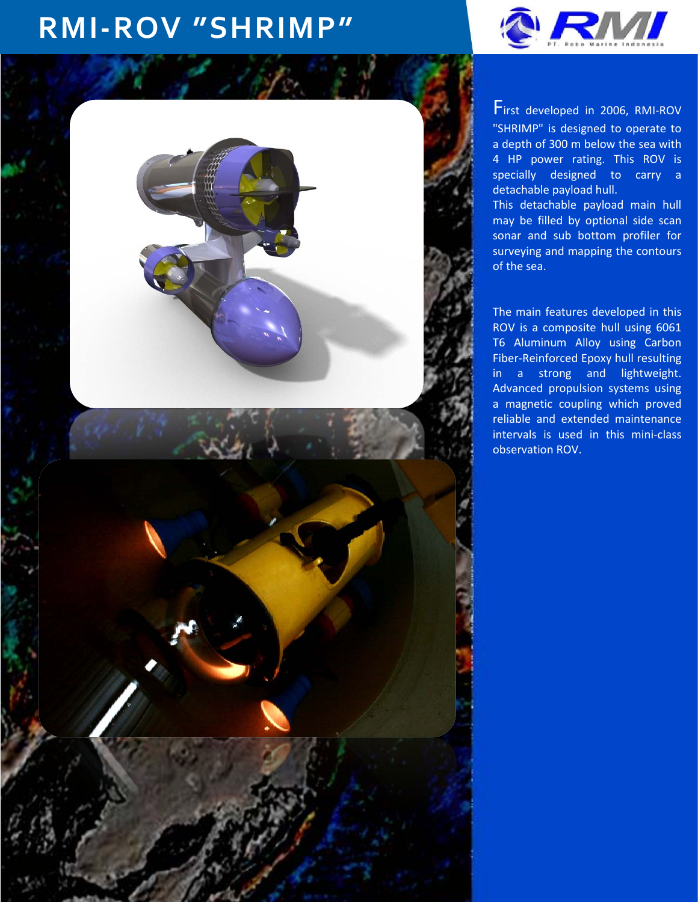## **RMI-ROV "SHRIMP"**





First developed in 2006, RMI-ROV "SHRIMP" is designed to operate to a depth of 300 m below the sea with 4 HP power rating. This ROV is specially designed to carry a detachable payload hull.

This detachable payload main hull may be filled by optional side scan sonar and sub bottom profiler for surveying and mapping the contours of the sea.

The main features developed in this ROV is a composite hull using 6061 T6 Aluminum Alloy using Carbon Fiber-Reinforced Epoxy hull resulting in a strong and lightweight. Advanced propulsion systems using a magnetic coupling which proved reliable and extended maintenance intervals is used in this mini-class observation ROV.